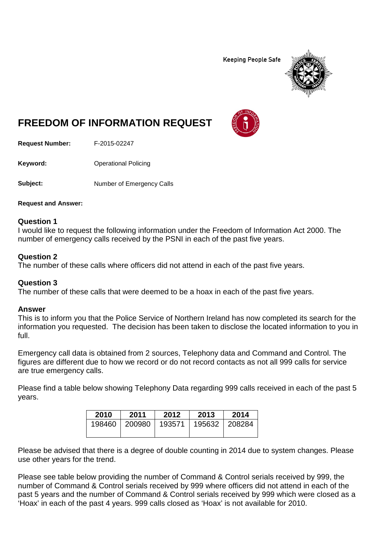**Keeping People Safe** 



# **FREEDOM OF INFORMATION REQUEST**

**Request Number:** F-2015-02247

**Keyword:** Operational Policing

**Subject:** Number of Emergency Calls

**Request and Answer:**

## **Question 1**

I would like to request the following information under the Freedom of Information Act 2000. The number of emergency calls received by the PSNI in each of the past five years.

## **Question 2**

The number of these calls where officers did not attend in each of the past five years.

## **Question 3**

The number of these calls that were deemed to be a hoax in each of the past five years.

### **Answer**

This is to inform you that the Police Service of Northern Ireland has now completed its search for the information you requested. The decision has been taken to disclose the located information to you in full.

Emergency call data is obtained from 2 sources, Telephony data and Command and Control. The figures are different due to how we record or do not record contacts as not all 999 calls for service are true emergency calls.

Please find a table below showing Telephony Data regarding 999 calls received in each of the past 5 years.

| 2010 | 2011                     | 2012 | 2013          | 2014 |
|------|--------------------------|------|---------------|------|
|      | 198460   200980   193571 |      | 195632 208284 |      |

Please be advised that there is a degree of double counting in 2014 due to system changes. Please use other years for the trend.

Please see table below providing the number of Command & Control serials received by 999, the number of Command & Control serials received by 999 where officers did not attend in each of the past 5 years and the number of Command & Control serials received by 999 which were closed as a 'Hoax' in each of the past 4 years. 999 calls closed as 'Hoax' is not available for 2010.